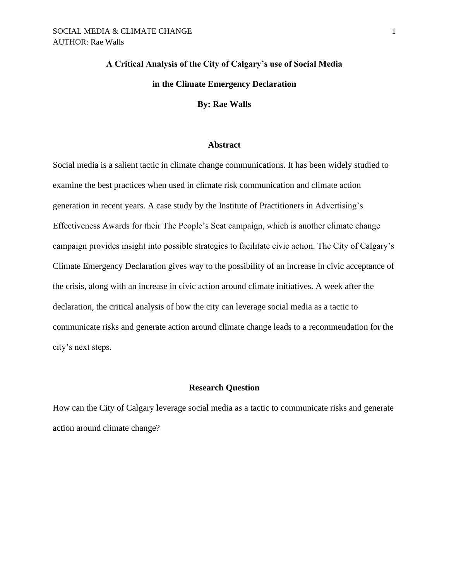# **A Critical Analysis of the City of Calgary's use of Social Media in the Climate Emergency Declaration**

#### **By: Rae Walls**

# **Abstract**

Social media is a salient tactic in climate change communications. It has been widely studied to examine the best practices when used in climate risk communication and climate action generation in recent years. A case study by the Institute of Practitioners in Advertising's Effectiveness Awards for their The People's Seat campaign, which is another climate change campaign provides insight into possible strategies to facilitate civic action. The City of Calgary's Climate Emergency Declaration gives way to the possibility of an increase in civic acceptance of the crisis, along with an increase in civic action around climate initiatives. A week after the declaration, the critical analysis of how the city can leverage social media as a tactic to communicate risks and generate action around climate change leads to a recommendation for the city's next steps.

# **Research Question**

How can the City of Calgary leverage social media as a tactic to communicate risks and generate action around climate change?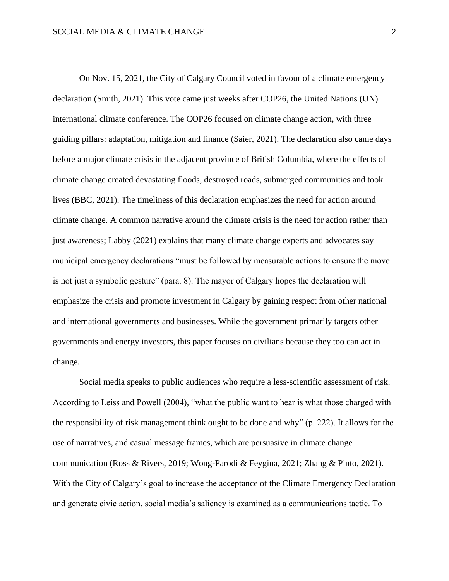On Nov. 15, 2021, the City of Calgary Council voted in favour of a climate emergency declaration (Smith, 2021). This vote came just weeks after COP26, the United Nations (UN) international climate conference. The COP26 focused on climate change action, with three guiding pillars: adaptation, mitigation and finance (Saier, 2021). The declaration also came days before a major climate crisis in the adjacent province of British Columbia, where the effects of climate change created devastating floods, destroyed roads, submerged communities and took lives (BBC, 2021). The timeliness of this declaration emphasizes the need for action around climate change. A common narrative around the climate crisis is the need for action rather than just awareness; Labby (2021) explains that many climate change experts and advocates say municipal emergency declarations "must be followed by measurable actions to ensure the move is not just a symbolic gesture" (para. 8). The mayor of Calgary hopes the declaration will emphasize the crisis and promote investment in Calgary by gaining respect from other national and international governments and businesses. While the government primarily targets other governments and energy investors, this paper focuses on civilians because they too can act in change.

Social media speaks to public audiences who require a less-scientific assessment of risk. According to Leiss and Powell (2004), "what the public want to hear is what those charged with the responsibility of risk management think ought to be done and why" (p. 222). It allows for the use of narratives, and casual message frames, which are persuasive in climate change communication (Ross & Rivers, 2019; Wong-Parodi & Feygina, 2021; Zhang & Pinto, 2021). With the City of Calgary's goal to increase the acceptance of the Climate Emergency Declaration and generate civic action, social media's saliency is examined as a communications tactic. To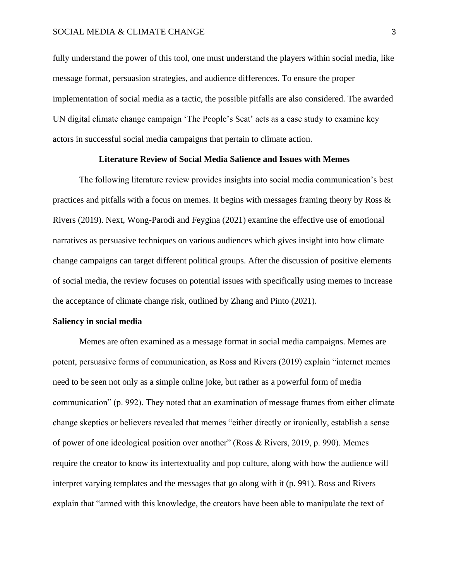# SOCIAL MEDIA & CLIMATE CHANGE 3

fully understand the power of this tool, one must understand the players within social media, like message format, persuasion strategies, and audience differences. To ensure the proper implementation of social media as a tactic, the possible pitfalls are also considered. The awarded UN digital climate change campaign 'The People's Seat' acts as a case study to examine key actors in successful social media campaigns that pertain to climate action.

# **Literature Review of Social Media Salience and Issues with Memes**

The following literature review provides insights into social media communication's best practices and pitfalls with a focus on memes. It begins with messages framing theory by Ross  $\&$ Rivers (2019). Next, Wong-Parodi and Feygina (2021) examine the effective use of emotional narratives as persuasive techniques on various audiences which gives insight into how climate change campaigns can target different political groups. After the discussion of positive elements of social media, the review focuses on potential issues with specifically using memes to increase the acceptance of climate change risk, outlined by Zhang and Pinto (2021).

#### **Saliency in social media**

Memes are often examined as a message format in social media campaigns. Memes are potent, persuasive forms of communication, as Ross and Rivers (2019) explain "internet memes need to be seen not only as a simple online joke, but rather as a powerful form of media communication" (p. 992). They noted that an examination of message frames from either climate change skeptics or believers revealed that memes "either directly or ironically, establish a sense of power of one ideological position over another" (Ross & Rivers, 2019, p. 990). Memes require the creator to know its intertextuality and pop culture, along with how the audience will interpret varying templates and the messages that go along with it (p. 991). Ross and Rivers explain that "armed with this knowledge, the creators have been able to manipulate the text of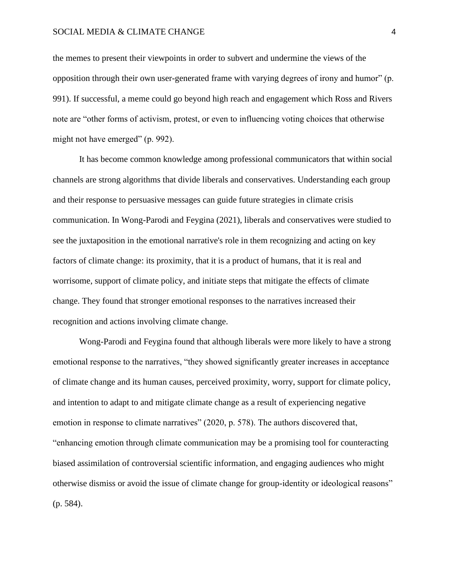# SOCIAL MEDIA & CLIMATE CHANGE 4

the memes to present their viewpoints in order to subvert and undermine the views of the opposition through their own user-generated frame with varying degrees of irony and humor" (p. 991). If successful, a meme could go beyond high reach and engagement which Ross and Rivers note are "other forms of activism, protest, or even to influencing voting choices that otherwise might not have emerged" (p. 992).

It has become common knowledge among professional communicators that within social channels are strong algorithms that divide liberals and conservatives. Understanding each group and their response to persuasive messages can guide future strategies in climate crisis communication. In Wong-Parodi and Feygina (2021), liberals and conservatives were studied to see the juxtaposition in the emotional narrative's role in them recognizing and acting on key factors of climate change: its proximity, that it is a product of humans, that it is real and worrisome, support of climate policy, and initiate steps that mitigate the effects of climate change. They found that stronger emotional responses to the narratives increased their recognition and actions involving climate change.

Wong-Parodi and Feygina found that although liberals were more likely to have a strong emotional response to the narratives, "they showed significantly greater increases in acceptance of climate change and its human causes, perceived proximity, worry, support for climate policy, and intention to adapt to and mitigate climate change as a result of experiencing negative emotion in response to climate narratives" (2020, p. 578). The authors discovered that, "enhancing emotion through climate communication may be a promising tool for counteracting biased assimilation of controversial scientific information, and engaging audiences who might otherwise dismiss or avoid the issue of climate change for group-identity or ideological reasons" (p. 584).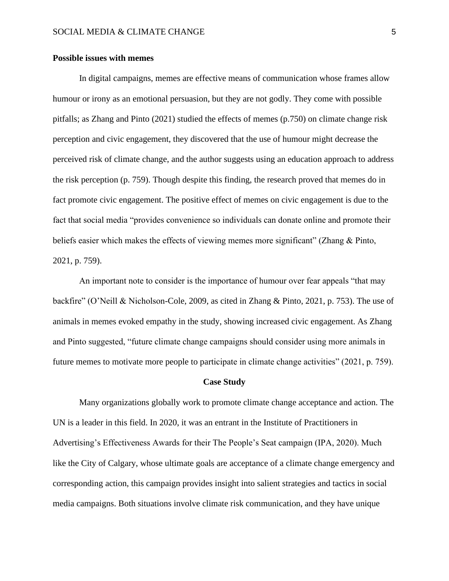# **Possible issues with memes**

In digital campaigns, memes are effective means of communication whose frames allow humour or irony as an emotional persuasion, but they are not godly. They come with possible pitfalls; as Zhang and Pinto (2021) studied the effects of memes (p.750) on climate change risk perception and civic engagement, they discovered that the use of humour might decrease the perceived risk of climate change, and the author suggests using an education approach to address the risk perception (p. 759). Though despite this finding, the research proved that memes do in fact promote civic engagement. The positive effect of memes on civic engagement is due to the fact that social media "provides convenience so individuals can donate online and promote their beliefs easier which makes the effects of viewing memes more significant" (Zhang & Pinto, 2021, p. 759).

An important note to consider is the importance of humour over fear appeals "that may backfire" (O'Neill & Nicholson-Cole, 2009, as cited in Zhang & Pinto, 2021, p. 753). The use of animals in memes evoked empathy in the study, showing increased civic engagement. As Zhang and Pinto suggested, "future climate change campaigns should consider using more animals in future memes to motivate more people to participate in climate change activities" (2021, p. 759).

#### **Case Study**

Many organizations globally work to promote climate change acceptance and action. The UN is a leader in this field. In 2020, it was an entrant in the Institute of Practitioners in Advertising's Effectiveness Awards for their The People's Seat campaign (IPA, 2020). Much like the City of Calgary, whose ultimate goals are acceptance of a climate change emergency and corresponding action, this campaign provides insight into salient strategies and tactics in social media campaigns. Both situations involve climate risk communication, and they have unique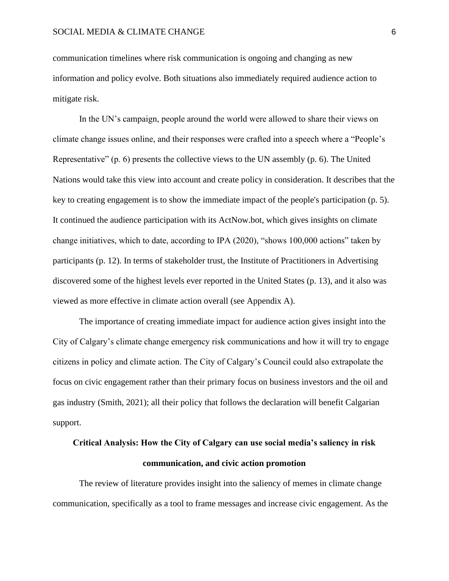communication timelines where risk communication is ongoing and changing as new information and policy evolve. Both situations also immediately required audience action to mitigate risk.

In the UN's campaign, people around the world were allowed to share their views on climate change issues online, and their responses were crafted into a speech where a "People's Representative" (p. 6) presents the collective views to the UN assembly (p. 6). The United Nations would take this view into account and create policy in consideration. It describes that the key to creating engagement is to show the immediate impact of the people's participation (p. 5). It continued the audience participation with its ActNow.bot, which gives insights on climate change initiatives, which to date, according to IPA (2020), "shows 100,000 actions" taken by participants (p. 12). In terms of stakeholder trust, the Institute of Practitioners in Advertising discovered some of the highest levels ever reported in the United States (p. 13), and it also was viewed as more effective in climate action overall (see Appendix A).

The importance of creating immediate impact for audience action gives insight into the City of Calgary's climate change emergency risk communications and how it will try to engage citizens in policy and climate action. The City of Calgary's Council could also extrapolate the focus on civic engagement rather than their primary focus on business investors and the oil and gas industry (Smith, 2021); all their policy that follows the declaration will benefit Calgarian support.

# **Critical Analysis: How the City of Calgary can use social media's saliency in risk communication, and civic action promotion**

The review of literature provides insight into the saliency of memes in climate change communication, specifically as a tool to frame messages and increase civic engagement. As the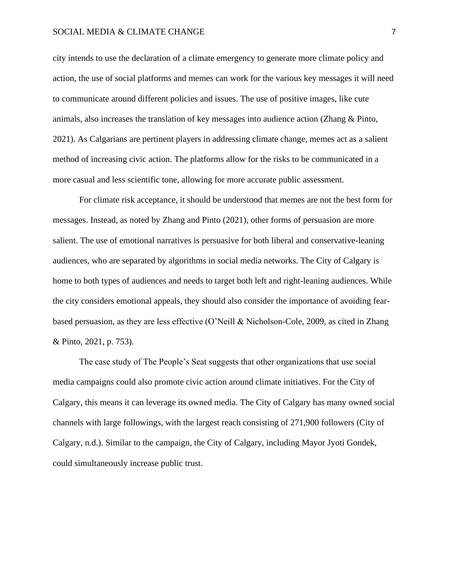# SOCIAL MEDIA & CLIMATE CHANGE 7

city intends to use the declaration of a climate emergency to generate more climate policy and action, the use of social platforms and memes can work for the various key messages it will need to communicate around different policies and issues. The use of positive images, like cute animals, also increases the translation of key messages into audience action (Zhang & Pinto, 2021). As Calgarians are pertinent players in addressing climate change, memes act as a salient method of increasing civic action. The platforms allow for the risks to be communicated in a more casual and less scientific tone, allowing for more accurate public assessment.

For climate risk acceptance, it should be understood that memes are not the best form for messages. Instead, as noted by Zhang and Pinto (2021), other forms of persuasion are more salient. The use of emotional narratives is persuasive for both liberal and conservative-leaning audiences, who are separated by algorithms in social media networks. The City of Calgary is home to both types of audiences and needs to target both left and right-leaning audiences. While the city considers emotional appeals, they should also consider the importance of avoiding fearbased persuasion, as they are less effective (O'Neill & Nicholson-Cole, 2009, as cited in Zhang & Pinto, 2021, p. 753).

The case study of The People's Seat suggests that other organizations that use social media campaigns could also promote civic action around climate initiatives. For the City of Calgary, this means it can leverage its owned media. The City of Calgary has many owned social channels with large followings, with the largest reach consisting of 271,900 followers (City of Calgary, n.d.). Similar to the campaign, the City of Calgary, including Mayor Jyoti Gondek, could simultaneously increase public trust.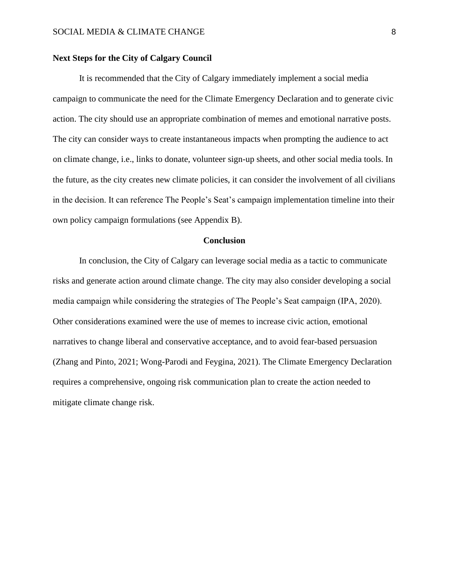# **Next Steps for the City of Calgary Council**

It is recommended that the City of Calgary immediately implement a social media campaign to communicate the need for the Climate Emergency Declaration and to generate civic action. The city should use an appropriate combination of memes and emotional narrative posts. The city can consider ways to create instantaneous impacts when prompting the audience to act on climate change, i.e., links to donate, volunteer sign-up sheets, and other social media tools. In the future, as the city creates new climate policies, it can consider the involvement of all civilians in the decision. It can reference The People's Seat's campaign implementation timeline into their own policy campaign formulations (see Appendix B).

# **Conclusion**

In conclusion, the City of Calgary can leverage social media as a tactic to communicate risks and generate action around climate change. The city may also consider developing a social media campaign while considering the strategies of The People's Seat campaign (IPA, 2020). Other considerations examined were the use of memes to increase civic action, emotional narratives to change liberal and conservative acceptance, and to avoid fear-based persuasion (Zhang and Pinto, 2021; Wong-Parodi and Feygina, 2021). The Climate Emergency Declaration requires a comprehensive, ongoing risk communication plan to create the action needed to mitigate climate change risk.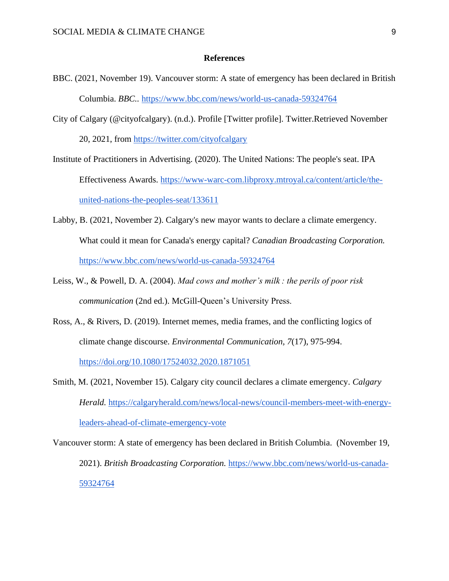# **References**

- BBC. (2021, November 19). Vancouver storm: A state of emergency has been declared in British Columbia. *BBC..* <https://www.bbc.com/news/world-us-canada-59324764>
- City of Calgary (@cityofcalgary). (n.d.). Profile [Twitter profile]. Twitter.Retrieved November 20, 2021, from<https://twitter.com/cityofcalgary>
- Institute of Practitioners in Advertising. (2020). The United Nations: The people's seat. IPA Effectiveness Awards. [https://www-warc-com.libproxy.mtroyal.ca/content/article/the](https://www-warc-com.libproxy.mtroyal.ca/content/article/the-united-nations-the-peoples-seat/133611)[united-nations-the-peoples-seat/133611](https://www-warc-com.libproxy.mtroyal.ca/content/article/the-united-nations-the-peoples-seat/133611)
- Labby, B. (2021, November 2). Calgary's new mayor wants to declare a climate emergency. What could it mean for Canada's energy capital? *Canadian Broadcasting Corporation.* <https://www.bbc.com/news/world-us-canada-59324764>
- Leiss, W., & Powell, D. A. (2004). *Mad cows and mother's milk : the perils of poor risk communication* (2nd ed.). McGill-Queen's University Press.
- Ross, A., & Rivers, D. (2019). Internet memes, media frames, and the conflicting logics of climate change discourse. *Environmental Communication, 7*(17), 975-994.

<https://doi.org/10.1080/17524032.2020.1871051>

Smith, M. (2021, November 15). Calgary city council declares a climate emergency. *Calgary Herald.* [https://calgaryherald.com/news/local-news/council-members-meet-with-energy](https://calgaryherald.com/news/local-news/council-members-meet-with-energy-leaders-ahead-of-climate-emergency-vote)[leaders-ahead-of-climate-emergency-vote](https://calgaryherald.com/news/local-news/council-members-meet-with-energy-leaders-ahead-of-climate-emergency-vote)

Vancouver storm: A state of emergency has been declared in British Columbia. (November 19, 2021). *British Broadcasting Corporation.* [https://www.bbc.com/news/world-us-canada-](https://www.bbc.com/news/world-us-canada-59324764)[59324764](https://www.bbc.com/news/world-us-canada-59324764)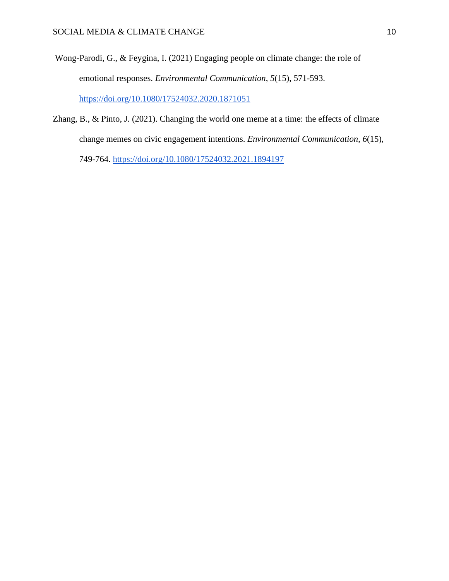- Wong-Parodi, G., & Feygina, I. (2021) Engaging people on climate change: the role of emotional responses. *Environmental Communication*, *5*(15), 571-593. <https://doi.org/10.1080/17524032.2020.1871051>
- Zhang, B., & Pinto, J. (2021). Changing the world one meme at a time: the effects of climate change memes on civic engagement intentions. *Environmental Communication*, *6*(15), 749-764.<https://doi.org/10.1080/17524032.2021.1894197>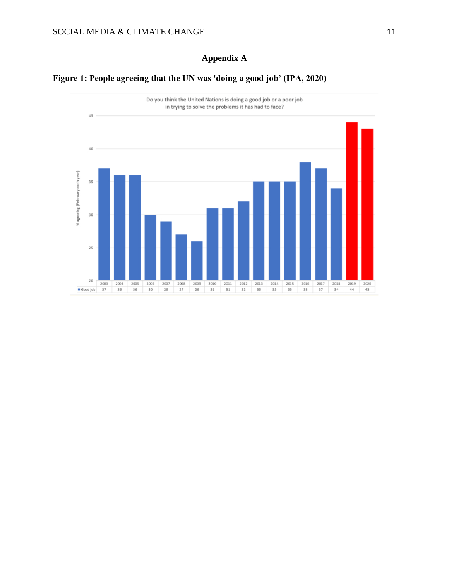# **Appendix A**